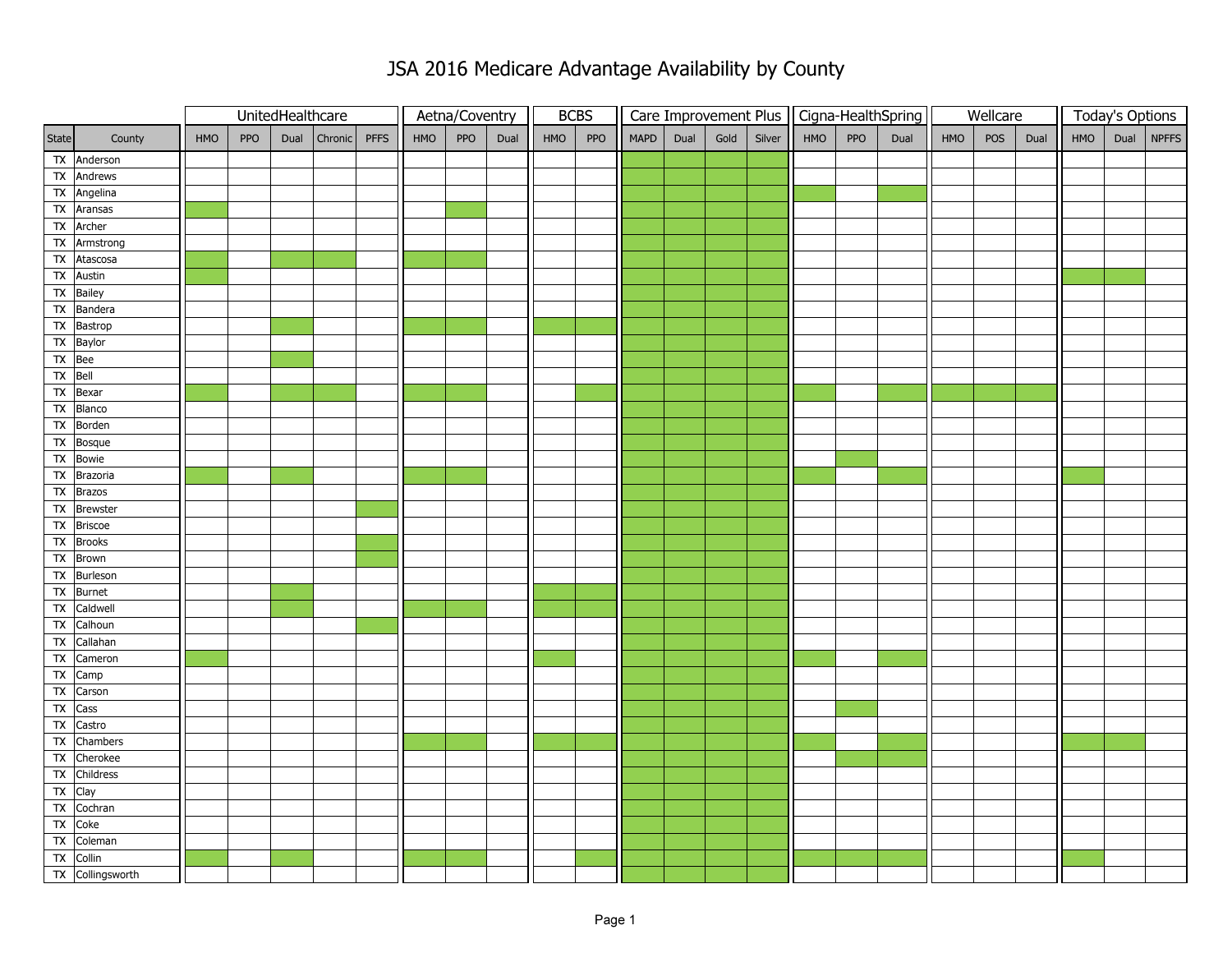|                |                           | UnitedHealthcare |            |      |         | Aetna/Coventry |     | <b>BCBS</b> |      |     |     |             | Care Improvement Plus |      |        | Cigna-HealthSpring |     | Wellcare |     |     | <b>Today's Options</b> |     |      |          |
|----------------|---------------------------|------------------|------------|------|---------|----------------|-----|-------------|------|-----|-----|-------------|-----------------------|------|--------|--------------------|-----|----------|-----|-----|------------------------|-----|------|----------|
| State          | County                    | HMO              | <b>PPO</b> | Dual | Chronic | <b>PFFS</b>    | HMO | PPO         | Dual | HMO | PPO | <b>MAPD</b> | Dual                  | Gold | Silver | HMO                | PPO | Dual     | HMO | POS | Dual                   | HMO | Dual | $N$ PFFS |
|                | TX Anderson               |                  |            |      |         |                |     |             |      |     |     |             |                       |      |        |                    |     |          |     |     |                        |     |      |          |
|                | TX Andrews                |                  |            |      |         |                |     |             |      |     |     |             |                       |      |        |                    |     |          |     |     |                        |     |      |          |
|                | TX Angelina               |                  |            |      |         |                |     |             |      |     |     |             |                       |      |        |                    |     |          |     |     |                        |     |      |          |
|                | TX Aransas                |                  |            |      |         |                |     |             |      |     |     |             |                       |      |        |                    |     |          |     |     |                        |     |      |          |
|                | TX Archer                 |                  |            |      |         |                |     |             |      |     |     |             |                       |      |        |                    |     |          |     |     |                        |     |      |          |
|                | TX Armstrong              |                  |            |      |         |                |     |             |      |     |     |             |                       |      |        |                    |     |          |     |     |                        |     |      |          |
|                | TX Atascosa               |                  |            |      |         |                |     |             |      |     |     |             |                       |      |        |                    |     |          |     |     |                        |     |      |          |
|                | TX Austin                 |                  |            |      |         |                |     |             |      |     |     |             |                       |      |        |                    |     |          |     |     |                        |     |      |          |
|                | TX Bailey                 |                  |            |      |         |                |     |             |      |     |     |             |                       |      |        |                    |     |          |     |     |                        |     |      |          |
|                | TX Bandera                |                  |            |      |         |                |     |             |      |     |     |             |                       |      |        |                    |     |          |     |     |                        |     |      |          |
|                | TX Bastrop                |                  |            |      |         |                |     |             |      |     |     |             |                       |      |        |                    |     |          |     |     |                        |     |      |          |
|                | TX Baylor                 |                  |            |      |         |                |     |             |      |     |     |             |                       |      |        |                    |     |          |     |     |                        |     |      |          |
| TX Bee         |                           |                  |            |      |         |                |     |             |      |     |     |             |                       |      |        |                    |     |          |     |     |                        |     |      |          |
| TX Bell        |                           |                  |            |      |         |                |     |             |      |     |     |             |                       |      |        |                    |     |          |     |     |                        |     |      |          |
|                | TX Bexar                  |                  |            |      |         |                |     |             |      |     |     |             |                       |      |        |                    |     |          |     |     |                        |     |      |          |
| $\mathsf{TX}$  | Blanco                    |                  |            |      |         |                |     |             |      |     |     |             |                       |      |        |                    |     |          |     |     |                        |     |      |          |
|                | TX Borden                 |                  |            |      |         |                |     |             |      |     |     |             |                       |      |        |                    |     |          |     |     |                        |     |      |          |
|                | $\overline{TX}$ Bosque    |                  |            |      |         |                |     |             |      |     |     |             |                       |      |        |                    |     |          |     |     |                        |     |      |          |
|                | TX Bowie                  |                  |            |      |         |                |     |             |      |     |     |             |                       |      |        |                    |     |          |     |     |                        |     |      |          |
|                | TX Brazoria               |                  |            |      |         |                |     |             |      |     |     |             |                       |      |        |                    |     |          |     |     |                        |     |      |          |
|                | TX Brazos                 |                  |            |      |         |                |     |             |      |     |     |             |                       |      |        |                    |     |          |     |     |                        |     |      |          |
|                | TX Brewster<br>TX Briscoe |                  |            |      |         |                |     |             |      |     |     |             |                       |      |        |                    |     |          |     |     |                        |     |      |          |
|                | TX Brooks                 |                  |            |      |         |                |     |             |      |     |     |             |                       |      |        |                    |     |          |     |     |                        |     |      |          |
|                | TX Brown                  |                  |            |      |         |                |     |             |      |     |     |             |                       |      |        |                    |     |          |     |     |                        |     |      |          |
|                | TX Burleson               |                  |            |      |         |                |     |             |      |     |     |             |                       |      |        |                    |     |          |     |     |                        |     |      |          |
| TX             | <b>Burnet</b>             |                  |            |      |         |                |     |             |      |     |     |             |                       |      |        |                    |     |          |     |     |                        |     |      |          |
|                | TX Caldwell               |                  |            |      |         |                |     |             |      |     |     |             |                       |      |        |                    |     |          |     |     |                        |     |      |          |
|                | TX Calhoun                |                  |            |      |         |                |     |             |      |     |     |             |                       |      |        |                    |     |          |     |     |                        |     |      |          |
| Tx             | Callahan                  |                  |            |      |         |                |     |             |      |     |     |             |                       |      |        |                    |     |          |     |     |                        |     |      |          |
|                | $\overline{TX}$ Cameron   |                  |            |      |         |                |     |             |      |     |     |             |                       |      |        |                    |     |          |     |     |                        |     |      |          |
|                | TX Camp                   |                  |            |      |         |                |     |             |      |     |     |             |                       |      |        |                    |     |          |     |     |                        |     |      |          |
|                | TX Carson                 |                  |            |      |         |                |     |             |      |     |     |             |                       |      |        |                    |     |          |     |     |                        |     |      |          |
|                | TX Cass                   |                  |            |      |         |                |     |             |      |     |     |             |                       |      |        |                    |     |          |     |     |                        |     |      |          |
| $\overline{X}$ | Castro                    |                  |            |      |         |                |     |             |      |     |     |             |                       |      |        |                    |     |          |     |     |                        |     |      |          |
| $\mathsf{TX}$  | Chambers                  |                  |            |      |         |                |     |             |      |     |     |             |                       |      |        |                    |     |          |     |     |                        |     |      |          |
| $\mathsf{TX}$  | Cherokee                  |                  |            |      |         |                |     |             |      |     |     |             |                       |      |        |                    |     |          |     |     |                        |     |      |          |
| $\mathsf{TX}$  | Childress                 |                  |            |      |         |                |     |             |      |     |     |             |                       |      |        |                    |     |          |     |     |                        |     |      |          |
| $TX$ Clay      |                           |                  |            |      |         |                |     |             |      |     |     |             |                       |      |        |                    |     |          |     |     |                        |     |      |          |
|                | TX Cochran                |                  |            |      |         |                |     |             |      |     |     |             |                       |      |        |                    |     |          |     |     |                        |     |      |          |
|                | TX Coke                   |                  |            |      |         |                |     |             |      |     |     |             |                       |      |        |                    |     |          |     |     |                        |     |      |          |
|                | TX Coleman                |                  |            |      |         |                |     |             |      |     |     |             |                       |      |        |                    |     |          |     |     |                        |     |      |          |
|                | TX Collin                 |                  |            |      |         |                |     |             |      |     |     |             |                       |      |        |                    |     |          |     |     |                        |     |      |          |
|                | TX Collingsworth          |                  |            |      |         |                |     |             |      |     |     |             |                       |      |        |                    |     |          |     |     |                        |     |      |          |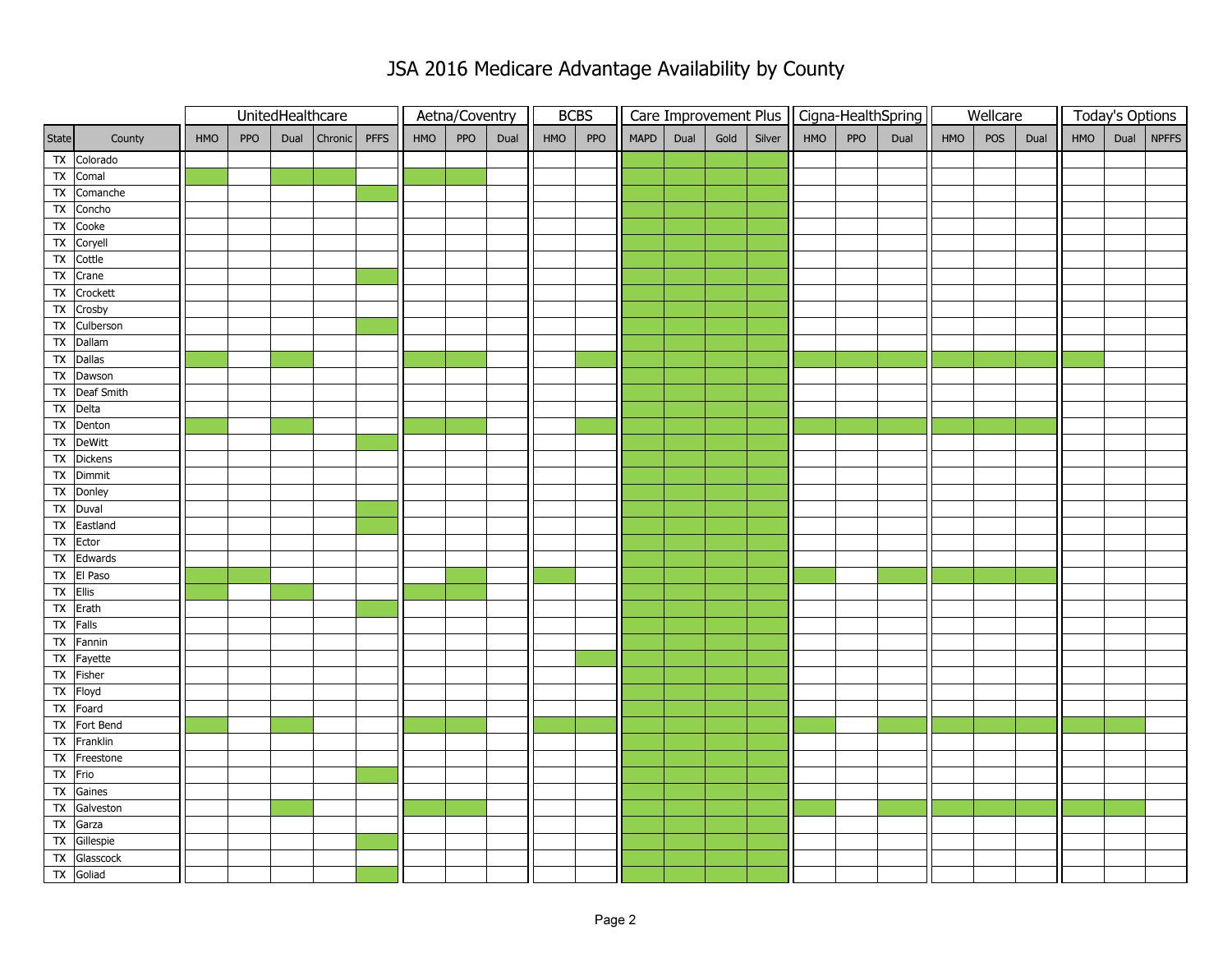|               |                             | UnitedHealthcare |            |      |         | Aetna/Coventry |     | <b>BCBS</b> |      |     |     |      |      |      |        | Care Improvement Plus   Cigna-HealthSpring |     | Wellcare |     |     | <b>Today's Options</b> |     |  |            |
|---------------|-----------------------------|------------------|------------|------|---------|----------------|-----|-------------|------|-----|-----|------|------|------|--------|--------------------------------------------|-----|----------|-----|-----|------------------------|-----|--|------------|
| State         | County                      | HMO              | <b>PPO</b> | Dual | Chronic | <b>PFFS</b>    | HMO | PPO         | Dual | HMO | PPO | MAPD | Dual | Gold | Silver | HMO                                        | PPO | Dual     | HMO | POS | Dual                   | HMO |  | Dual NPFFS |
|               | TX Colorado                 |                  |            |      |         |                |     |             |      |     |     |      |      |      |        |                                            |     |          |     |     |                        |     |  |            |
|               | TX Comal                    |                  |            |      |         |                |     |             |      |     |     |      |      |      |        |                                            |     |          |     |     |                        |     |  |            |
|               | TX Comanche                 |                  |            |      |         |                |     |             |      |     |     |      |      |      |        |                                            |     |          |     |     |                        |     |  |            |
|               | TX Concho                   |                  |            |      |         |                |     |             |      |     |     |      |      |      |        |                                            |     |          |     |     |                        |     |  |            |
|               | TX Cooke                    |                  |            |      |         |                |     |             |      |     |     |      |      |      |        |                                            |     |          |     |     |                        |     |  |            |
|               | TX Coryell                  |                  |            |      |         |                |     |             |      |     |     |      |      |      |        |                                            |     |          |     |     |                        |     |  |            |
|               | TX Cottle                   |                  |            |      |         |                |     |             |      |     |     |      |      |      |        |                                            |     |          |     |     |                        |     |  |            |
|               | TX Crane                    |                  |            |      |         |                |     |             |      |     |     |      |      |      |        |                                            |     |          |     |     |                        |     |  |            |
|               | $\overline{TX}$ Crockett    |                  |            |      |         |                |     |             |      |     |     |      |      |      |        |                                            |     |          |     |     |                        |     |  |            |
|               | TX Crosby                   |                  |            |      |         |                |     |             |      |     |     |      |      |      |        |                                            |     |          |     |     |                        |     |  |            |
|               | TX Culberson                |                  |            |      |         |                |     |             |      |     |     |      |      |      |        |                                            |     |          |     |     |                        |     |  |            |
|               | TX Dallam                   |                  |            |      |         |                |     |             |      |     |     |      |      |      |        |                                            |     |          |     |     |                        |     |  |            |
|               | TX Dallas                   |                  |            |      |         |                |     |             |      |     |     |      |      |      |        |                                            |     |          |     |     |                        |     |  |            |
|               | TX Dawson                   |                  |            |      |         |                |     |             |      |     |     |      |      |      |        |                                            |     |          |     |     |                        |     |  |            |
|               | TX Deaf Smith               |                  |            |      |         |                |     |             |      |     |     |      |      |      |        |                                            |     |          |     |     |                        |     |  |            |
|               | TX Delta                    |                  |            |      |         |                |     |             |      |     |     |      |      |      |        |                                            |     |          |     |     |                        |     |  |            |
|               | TX Denton                   |                  |            |      |         |                |     |             |      |     |     |      |      |      |        |                                            |     |          |     |     |                        |     |  |            |
|               | TX DeWitt                   |                  |            |      |         |                |     |             |      |     |     |      |      |      |        |                                            |     |          |     |     |                        |     |  |            |
|               | TX Dickens                  |                  |            |      |         |                |     |             |      |     |     |      |      |      |        |                                            |     |          |     |     |                        |     |  |            |
|               | TX Dimmit<br>TX Donley      |                  |            |      |         |                |     |             |      |     |     |      |      |      |        |                                            |     |          |     |     |                        |     |  |            |
|               | TX Duval                    |                  |            |      |         |                |     |             |      |     |     |      |      |      |        |                                            |     |          |     |     |                        |     |  |            |
|               | TX Eastland                 |                  |            |      |         |                |     |             |      |     |     |      |      |      |        |                                            |     |          |     |     |                        |     |  |            |
|               | TX Ector                    |                  |            |      |         |                |     |             |      |     |     |      |      |      |        |                                            |     |          |     |     |                        |     |  |            |
|               | TX Edwards                  |                  |            |      |         |                |     |             |      |     |     |      |      |      |        |                                            |     |          |     |     |                        |     |  |            |
|               | TX El Paso                  |                  |            |      |         |                |     |             |      |     |     |      |      |      |        |                                            |     |          |     |     |                        |     |  |            |
| $TX$ Ellis    |                             |                  |            |      |         |                |     |             |      |     |     |      |      |      |        |                                            |     |          |     |     |                        |     |  |            |
|               | $TX$ Erath                  |                  |            |      |         |                |     |             |      |     |     |      |      |      |        |                                            |     |          |     |     |                        |     |  |            |
|               | TX Falls                    |                  |            |      |         |                |     |             |      |     |     |      |      |      |        |                                            |     |          |     |     |                        |     |  |            |
|               | TX Fannin                   |                  |            |      |         |                |     |             |      |     |     |      |      |      |        |                                            |     |          |     |     |                        |     |  |            |
|               | TX Fayette                  |                  |            |      |         |                |     |             |      |     |     |      |      |      |        |                                            |     |          |     |     |                        |     |  |            |
|               | TX Fisher                   |                  |            |      |         |                |     |             |      |     |     |      |      |      |        |                                            |     |          |     |     |                        |     |  |            |
|               | TX Floyd                    |                  |            |      |         |                |     |             |      |     |     |      |      |      |        |                                            |     |          |     |     |                        |     |  |            |
|               | TX Foard                    |                  |            |      |         |                |     |             |      |     |     |      |      |      |        |                                            |     |          |     |     |                        |     |  |            |
|               | TX Fort Bend                |                  |            |      |         |                |     |             |      |     |     |      |      |      |        |                                            |     |          |     |     |                        |     |  |            |
|               | TX Franklin                 |                  |            |      |         |                |     |             |      |     |     |      |      |      |        |                                            |     |          |     |     |                        |     |  |            |
|               | $\overline{TX}$   Freestone |                  |            |      |         |                |     |             |      |     |     |      |      |      |        |                                            |     |          |     |     |                        |     |  |            |
| TX Frio       |                             |                  |            |      |         |                |     |             |      |     |     |      |      |      |        |                                            |     |          |     |     |                        |     |  |            |
|               | TX Gaines                   |                  |            |      |         |                |     |             |      |     |     |      |      |      |        |                                            |     |          |     |     |                        |     |  |            |
|               | TX Galveston                |                  |            |      |         |                |     |             |      |     |     |      |      |      |        |                                            |     |          |     |     |                        |     |  |            |
|               | TX Garza                    |                  |            |      |         |                |     |             |      |     |     |      |      |      |        |                                            |     |          |     |     |                        |     |  |            |
|               | TX Gillespie                |                  |            |      |         |                |     |             |      |     |     |      |      |      |        |                                            |     |          |     |     |                        |     |  |            |
| $\mathsf{TX}$ | Glasscock                   |                  |            |      |         |                |     |             |      |     |     |      |      |      |        |                                            |     |          |     |     |                        |     |  |            |
|               | TX Goliad                   |                  |            |      |         |                |     |             |      |     |     |      |      |      |        |                                            |     |          |     |     |                        |     |  |            |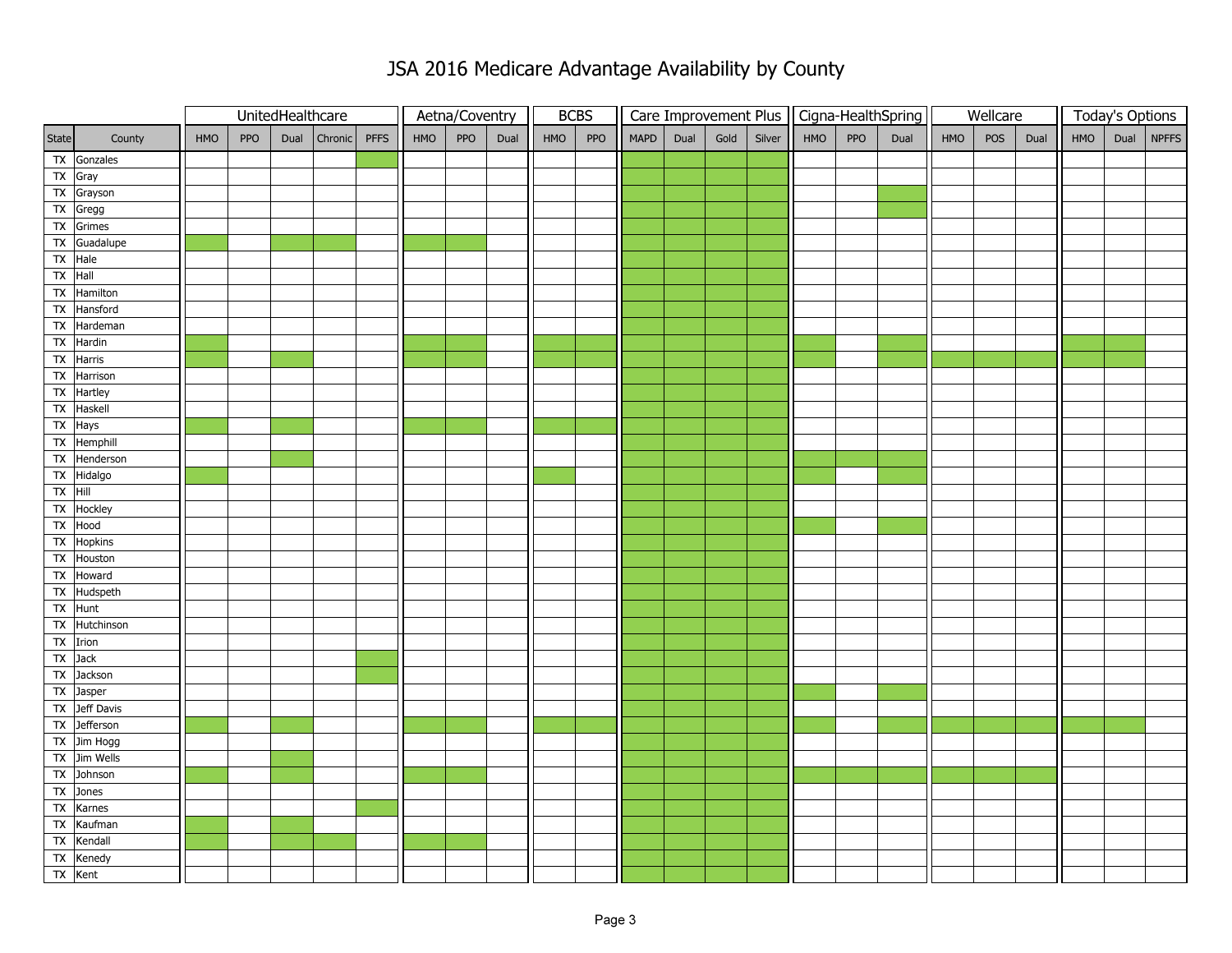|                          |                          | UnitedHealthcare |            |      |         | Aetna/Coventry |     | <b>BCBS</b> |      |     |     |             |      |      |        | Care Improvement Plus   Cigna-HealthSpring |     | Wellcare |     |     | <b>Today's Options</b> |     |      |       |
|--------------------------|--------------------------|------------------|------------|------|---------|----------------|-----|-------------|------|-----|-----|-------------|------|------|--------|--------------------------------------------|-----|----------|-----|-----|------------------------|-----|------|-------|
| State                    | County                   | HMO              | <b>PPO</b> | Dual | Chronic | PFFS           | HMO | PPO         | Dual | HMO | PPO | <b>MAPD</b> | Dual | Gold | Silver | HMO                                        | PPO | Dual     | HMO | POS | Dual                   | HMO | Dual | NPFFS |
|                          | TX Gonzales              |                  |            |      |         |                |     |             |      |     |     |             |      |      |        |                                            |     |          |     |     |                        |     |      |       |
|                          | TX Gray                  |                  |            |      |         |                |     |             |      |     |     |             |      |      |        |                                            |     |          |     |     |                        |     |      |       |
|                          | TX Grayson               |                  |            |      |         |                |     |             |      |     |     |             |      |      |        |                                            |     |          |     |     |                        |     |      |       |
|                          | TX Gregg                 |                  |            |      |         |                |     |             |      |     |     |             |      |      |        |                                            |     |          |     |     |                        |     |      |       |
|                          | TX Grimes                |                  |            |      |         |                |     |             |      |     |     |             |      |      |        |                                            |     |          |     |     |                        |     |      |       |
|                          | TX Guadalupe             |                  |            |      |         |                |     |             |      |     |     |             |      |      |        |                                            |     |          |     |     |                        |     |      |       |
|                          | TX Hale                  |                  |            |      |         |                |     |             |      |     |     |             |      |      |        |                                            |     |          |     |     |                        |     |      |       |
| $TX$ Hall                |                          |                  |            |      |         |                |     |             |      |     |     |             |      |      |        |                                            |     |          |     |     |                        |     |      |       |
|                          | TX Hamilton              |                  |            |      |         |                |     |             |      |     |     |             |      |      |        |                                            |     |          |     |     |                        |     |      |       |
| $\mathsf{TX}$            | Hansford                 |                  |            |      |         |                |     |             |      |     |     |             |      |      |        |                                            |     |          |     |     |                        |     |      |       |
|                          | TX Hardeman              |                  |            |      |         |                |     |             |      |     |     |             |      |      |        |                                            |     |          |     |     |                        |     |      |       |
|                          | TX Hardin                |                  |            |      |         |                |     |             |      |     |     |             |      |      |        |                                            |     |          |     |     |                        |     |      |       |
|                          | TX Harris                |                  |            |      |         |                |     |             |      |     |     |             |      |      |        |                                            |     |          |     |     |                        |     |      |       |
|                          | $\overline{TX}$ Harrison |                  |            |      |         |                |     |             |      |     |     |             |      |      |        |                                            |     |          |     |     |                        |     |      |       |
|                          | TX Hartley               |                  |            |      |         |                |     |             |      |     |     |             |      |      |        |                                            |     |          |     |     |                        |     |      |       |
| $\mathsf{TX}$            | Haskell                  |                  |            |      |         |                |     |             |      |     |     |             |      |      |        |                                            |     |          |     |     |                        |     |      |       |
|                          | TX Hays                  |                  |            |      |         |                |     |             |      |     |     |             |      |      |        |                                            |     |          |     |     |                        |     |      |       |
|                          | $\overline{TX}$ Hemphill |                  |            |      |         |                |     |             |      |     |     |             |      |      |        |                                            |     |          |     |     |                        |     |      |       |
|                          | TX Henderson             |                  |            |      |         |                |     |             |      |     |     |             |      |      |        |                                            |     |          |     |     |                        |     |      |       |
|                          | TX Hidalgo               |                  |            |      |         |                |     |             |      |     |     |             |      |      |        |                                            |     |          |     |     |                        |     |      |       |
| $TX$ Hill                |                          |                  |            |      |         |                |     |             |      |     |     |             |      |      |        |                                            |     |          |     |     |                        |     |      |       |
|                          | TX Hockley               |                  |            |      |         |                |     |             |      |     |     |             |      |      |        |                                            |     |          |     |     |                        |     |      |       |
|                          | TX Hood                  |                  |            |      |         |                |     |             |      |     |     |             |      |      |        |                                            |     |          |     |     |                        |     |      |       |
|                          | TX Hopkins               |                  |            |      |         |                |     |             |      |     |     |             |      |      |        |                                            |     |          |     |     |                        |     |      |       |
|                          | TX Houston               |                  |            |      |         |                |     |             |      |     |     |             |      |      |        |                                            |     |          |     |     |                        |     |      |       |
|                          | $\overline{TX}$ Howard   |                  |            |      |         |                |     |             |      |     |     |             |      |      |        |                                            |     |          |     |     |                        |     |      |       |
|                          | TX Hudspeth              |                  |            |      |         |                |     |             |      |     |     |             |      |      |        |                                            |     |          |     |     |                        |     |      |       |
|                          | TX Hunt                  |                  |            |      |         |                |     |             |      |     |     |             |      |      |        |                                            |     |          |     |     |                        |     |      |       |
|                          | TX Hutchinson            |                  |            |      |         |                |     |             |      |     |     |             |      |      |        |                                            |     |          |     |     |                        |     |      |       |
|                          | TX Irion                 |                  |            |      |         |                |     |             |      |     |     |             |      |      |        |                                            |     |          |     |     |                        |     |      |       |
| TX Jack                  |                          |                  |            |      |         |                |     |             |      |     |     |             |      |      |        |                                            |     |          |     |     |                        |     |      |       |
|                          | TX Jackson               |                  |            |      |         |                |     |             |      |     |     |             |      |      |        |                                            |     |          |     |     |                        |     |      |       |
|                          | TX Jasper                |                  |            |      |         |                |     |             |      |     |     |             |      |      |        |                                            |     |          |     |     |                        |     |      |       |
|                          | TX Jeff Davis            |                  |            |      |         |                |     |             |      |     |     |             |      |      |        |                                            |     |          |     |     |                        |     |      |       |
| $\overline{\mathsf{TX}}$ | Jefferson                |                  |            |      |         |                |     |             |      |     |     |             |      |      |        |                                            |     |          |     |     |                        |     |      |       |
|                          | TX Jim Hogg              |                  |            |      |         |                |     |             |      |     |     |             |      |      |        |                                            |     |          |     |     |                        |     |      |       |
|                          | TX Jim Wells             |                  |            |      |         |                |     |             |      |     |     |             |      |      |        |                                            |     |          |     |     |                        |     |      |       |
|                          | TX Johnson               |                  |            |      |         |                |     |             |      |     |     |             |      |      |        |                                            |     |          |     |     |                        |     |      |       |
|                          | TX Jones                 |                  |            |      |         |                |     |             |      |     |     |             |      |      |        |                                            |     |          |     |     |                        |     |      |       |
|                          | TX Karnes                |                  |            |      |         |                |     |             |      |     |     |             |      |      |        |                                            |     |          |     |     |                        |     |      |       |
|                          | TX Kaufman               |                  |            |      |         |                |     |             |      |     |     |             |      |      |        |                                            |     |          |     |     |                        |     |      |       |
|                          | TX Kendall               |                  |            |      |         |                |     |             |      |     |     |             |      |      |        |                                            |     |          |     |     |                        |     |      |       |
| $\mathsf{TX}$            | Kenedy                   |                  |            |      |         |                |     |             |      |     |     |             |      |      |        |                                            |     |          |     |     |                        |     |      |       |
|                          | TX Kent                  |                  |            |      |         |                |     |             |      |     |     |             |      |      |        |                                            |     |          |     |     |                        |     |      |       |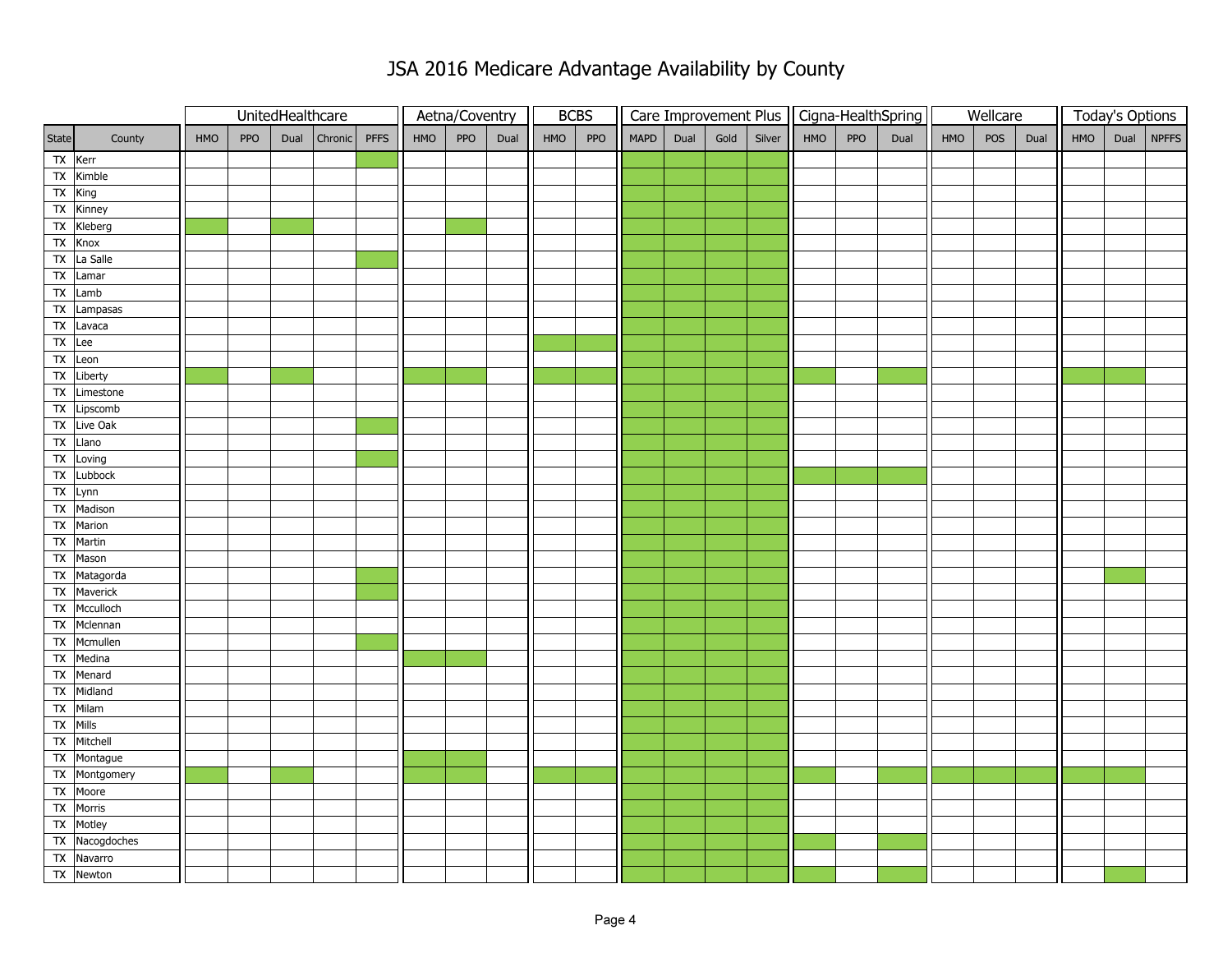|               |                       | UnitedHealthcare |            |      |              |  |     | Aetna/Coventry |      | <b>BCBS</b> |     |             |      |      |        |     |     | Care Improvement Plus   Cigna-HealthSpring |     | Wellcare |      |     | <b>Today's Options</b> |
|---------------|-----------------------|------------------|------------|------|--------------|--|-----|----------------|------|-------------|-----|-------------|------|------|--------|-----|-----|--------------------------------------------|-----|----------|------|-----|------------------------|
| State         | County                | <b>HMO</b>       | <b>PPO</b> | Dual | Chronic PFFS |  | HMO | PPO            | Dual | HMO         | PPO | <b>MAPD</b> | Dual | Gold | Silver | HMO | PPO | Dual                                       | HMO | POS      | Dual | HMO | Dual NPFFS             |
| $TX$ Kerr     |                       |                  |            |      |              |  |     |                |      |             |     |             |      |      |        |     |     |                                            |     |          |      |     |                        |
|               | TX Kimble             |                  |            |      |              |  |     |                |      |             |     |             |      |      |        |     |     |                                            |     |          |      |     |                        |
| TX King       |                       |                  |            |      |              |  |     |                |      |             |     |             |      |      |        |     |     |                                            |     |          |      |     |                        |
|               | TX Kinney             |                  |            |      |              |  |     |                |      |             |     |             |      |      |        |     |     |                                            |     |          |      |     |                        |
|               | TX Kleberg            |                  |            |      |              |  |     |                |      |             |     |             |      |      |        |     |     |                                            |     |          |      |     |                        |
|               | TX Knox               |                  |            |      |              |  |     |                |      |             |     |             |      |      |        |     |     |                                            |     |          |      |     |                        |
|               | TX La Salle           |                  |            |      |              |  |     |                |      |             |     |             |      |      |        |     |     |                                            |     |          |      |     |                        |
|               | TX Lamar              |                  |            |      |              |  |     |                |      |             |     |             |      |      |        |     |     |                                            |     |          |      |     |                        |
|               | TX Lamb               |                  |            |      |              |  |     |                |      |             |     |             |      |      |        |     |     |                                            |     |          |      |     |                        |
|               | TX Lampasas           |                  |            |      |              |  |     |                |      |             |     |             |      |      |        |     |     |                                            |     |          |      |     |                        |
|               | TX Lavaca             |                  |            |      |              |  |     |                |      |             |     |             |      |      |        |     |     |                                            |     |          |      |     |                        |
| $TX$ Lee      |                       |                  |            |      |              |  |     |                |      |             |     |             |      |      |        |     |     |                                            |     |          |      |     |                        |
|               | TX Leon               |                  |            |      |              |  |     |                |      |             |     |             |      |      |        |     |     |                                            |     |          |      |     |                        |
|               | TX Liberty            |                  |            |      |              |  |     |                |      |             |     |             |      |      |        |     |     |                                            |     |          |      |     |                        |
| ${\sf TX}$    | Limestone             |                  |            |      |              |  |     |                |      |             |     |             |      |      |        |     |     |                                            |     |          |      |     |                        |
| $\mathsf{TX}$ | Lipscomb              |                  |            |      |              |  |     |                |      |             |     |             |      |      |        |     |     |                                            |     |          |      |     |                        |
|               | TX Live Oak           |                  |            |      |              |  |     |                |      |             |     |             |      |      |        |     |     |                                            |     |          |      |     |                        |
|               | TX Llano              |                  |            |      |              |  |     |                |      |             |     |             |      |      |        |     |     |                                            |     |          |      |     |                        |
|               | TX Loving             |                  |            |      |              |  |     |                |      |             |     |             |      |      |        |     |     |                                            |     |          |      |     |                        |
|               | TX Lubbock            |                  |            |      |              |  |     |                |      |             |     |             |      |      |        |     |     |                                            |     |          |      |     |                        |
|               | TX Lynn<br>TX Madison |                  |            |      |              |  |     |                |      |             |     |             |      |      |        |     |     |                                            |     |          |      |     |                        |
| TX            | Marion                |                  |            |      |              |  |     |                |      |             |     |             |      |      |        |     |     |                                            |     |          |      |     |                        |
|               | TX Martin             |                  |            |      |              |  |     |                |      |             |     |             |      |      |        |     |     |                                            |     |          |      |     |                        |
|               | TX Mason              |                  |            |      |              |  |     |                |      |             |     |             |      |      |        |     |     |                                            |     |          |      |     |                        |
|               | TX Matagorda          |                  |            |      |              |  |     |                |      |             |     |             |      |      |        |     |     |                                            |     |          |      |     |                        |
|               | TX Maverick           |                  |            |      |              |  |     |                |      |             |     |             |      |      |        |     |     |                                            |     |          |      |     |                        |
| Tx            | Mcculloch             |                  |            |      |              |  |     |                |      |             |     |             |      |      |        |     |     |                                            |     |          |      |     |                        |
|               | TX Mclennan           |                  |            |      |              |  |     |                |      |             |     |             |      |      |        |     |     |                                            |     |          |      |     |                        |
|               | TX Mcmullen           |                  |            |      |              |  |     |                |      |             |     |             |      |      |        |     |     |                                            |     |          |      |     |                        |
| ${\sf TX}$    | Medina                |                  |            |      |              |  |     |                |      |             |     |             |      |      |        |     |     |                                            |     |          |      |     |                        |
| $\mathsf{TX}$ | Menard                |                  |            |      |              |  |     |                |      |             |     |             |      |      |        |     |     |                                            |     |          |      |     |                        |
|               | TX Midland            |                  |            |      |              |  |     |                |      |             |     |             |      |      |        |     |     |                                            |     |          |      |     |                        |
|               | TX Milam              |                  |            |      |              |  |     |                |      |             |     |             |      |      |        |     |     |                                            |     |          |      |     |                        |
| TX            | Mills                 |                  |            |      |              |  |     |                |      |             |     |             |      |      |        |     |     |                                            |     |          |      |     |                        |
|               | TX Mitchell           |                  |            |      |              |  |     |                |      |             |     |             |      |      |        |     |     |                                            |     |          |      |     |                        |
|               | TX Montague           |                  |            |      |              |  |     |                |      |             |     |             |      |      |        |     |     |                                            |     |          |      |     |                        |
|               | TX Montgomery         |                  |            |      |              |  |     |                |      |             |     |             |      |      |        |     |     |                                            |     |          |      |     |                        |
|               | TX Moore              |                  |            |      |              |  |     |                |      |             |     |             |      |      |        |     |     |                                            |     |          |      |     |                        |
|               | TX Morris             |                  |            |      |              |  |     |                |      |             |     |             |      |      |        |     |     |                                            |     |          |      |     |                        |
|               | TX Motley             |                  |            |      |              |  |     |                |      |             |     |             |      |      |        |     |     |                                            |     |          |      |     |                        |
|               | TX Nacogdoches        |                  |            |      |              |  |     |                |      |             |     |             |      |      |        |     |     |                                            |     |          |      |     |                        |
|               | TX Navarro            |                  |            |      |              |  |     |                |      |             |     |             |      |      |        |     |     |                                            |     |          |      |     |                        |
|               | TX Newton             |                  |            |      |              |  |     |                |      |             |     |             |      |      |        |     |     |                                            |     |          |      |     |                        |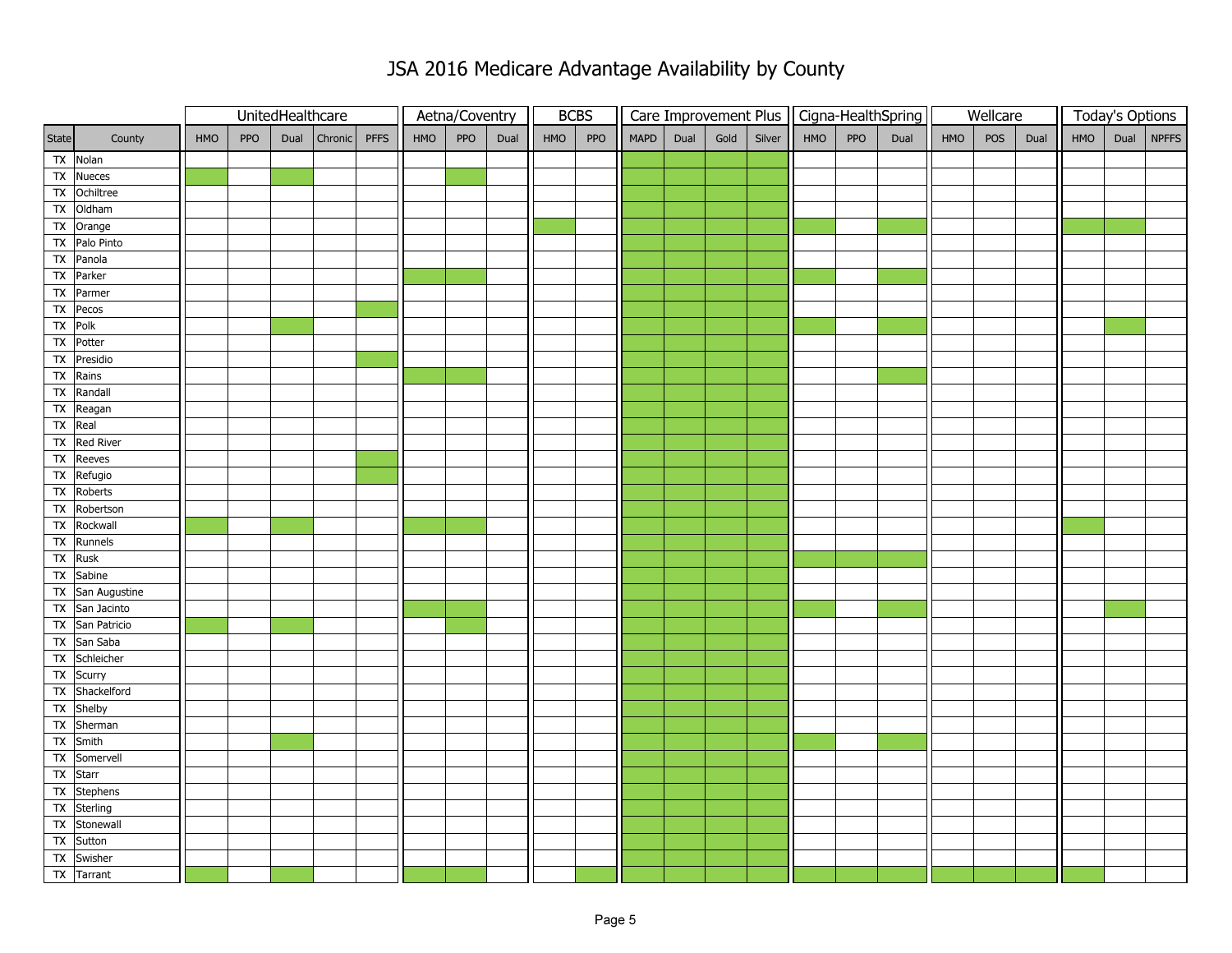|                          |                                      | UnitedHealthcare |            |      |         | Aetna/Coventry |            |     | <b>BCBS</b> |     |     |      |      |      |        | Care Improvement Plus   Cigna-HealthSpring |     | Wellcare |     |     | <b>Today's Options</b> |     |  |              |
|--------------------------|--------------------------------------|------------------|------------|------|---------|----------------|------------|-----|-------------|-----|-----|------|------|------|--------|--------------------------------------------|-----|----------|-----|-----|------------------------|-----|--|--------------|
| State                    | County                               | <b>HMO</b>       | <b>PPO</b> | Dual | Chronic | <b>PFFS</b>    | <b>HMO</b> | PPO | Dual        | HMO | PPO | MAPD | Dual | Gold | Silver | HMO                                        | PPO | Dual     | HMO | POS | Dual                   | HMO |  | Dual   NPFFS |
|                          | TX Nolan                             |                  |            |      |         |                |            |     |             |     |     |      |      |      |        |                                            |     |          |     |     |                        |     |  |              |
|                          | TX Nueces                            |                  |            |      |         |                |            |     |             |     |     |      |      |      |        |                                            |     |          |     |     |                        |     |  |              |
|                          | TX Ochiltree                         |                  |            |      |         |                |            |     |             |     |     |      |      |      |        |                                            |     |          |     |     |                        |     |  |              |
|                          | TX Oldham                            |                  |            |      |         |                |            |     |             |     |     |      |      |      |        |                                            |     |          |     |     |                        |     |  |              |
|                          | TX Orange                            |                  |            |      |         |                |            |     |             |     |     |      |      |      |        |                                            |     |          |     |     |                        |     |  |              |
|                          | TX Palo Pinto                        |                  |            |      |         |                |            |     |             |     |     |      |      |      |        |                                            |     |          |     |     |                        |     |  |              |
|                          | TX Panola                            |                  |            |      |         |                |            |     |             |     |     |      |      |      |        |                                            |     |          |     |     |                        |     |  |              |
|                          | TX Parker                            |                  |            |      |         |                |            |     |             |     |     |      |      |      |        |                                            |     |          |     |     |                        |     |  |              |
|                          | TX Parmer                            |                  |            |      |         |                |            |     |             |     |     |      |      |      |        |                                            |     |          |     |     |                        |     |  |              |
| $\mathsf{TX}$            | Pecos                                |                  |            |      |         |                |            |     |             |     |     |      |      |      |        |                                            |     |          |     |     |                        |     |  |              |
| TX Polk                  |                                      |                  |            |      |         |                |            |     |             |     |     |      |      |      |        |                                            |     |          |     |     |                        |     |  |              |
|                          | TX Potter                            |                  |            |      |         |                |            |     |             |     |     |      |      |      |        |                                            |     |          |     |     |                        |     |  |              |
|                          | TX Presidio                          |                  |            |      |         |                |            |     |             |     |     |      |      |      |        |                                            |     |          |     |     |                        |     |  |              |
|                          | TX Rains                             |                  |            |      |         |                |            |     |             |     |     |      |      |      |        |                                            |     |          |     |     |                        |     |  |              |
| $\mathsf{TX}$            | Randall                              |                  |            |      |         |                |            |     |             |     |     |      |      |      |        |                                            |     |          |     |     |                        |     |  |              |
|                          | TX Reagan                            |                  |            |      |         |                |            |     |             |     |     |      |      |      |        |                                            |     |          |     |     |                        |     |  |              |
| TX Real                  |                                      |                  |            |      |         |                |            |     |             |     |     |      |      |      |        |                                            |     |          |     |     |                        |     |  |              |
| $\overline{\mathsf{TX}}$ | Red River                            |                  |            |      |         |                |            |     |             |     |     |      |      |      |        |                                            |     |          |     |     |                        |     |  |              |
|                          | TX Reeves                            |                  |            |      |         |                |            |     |             |     |     |      |      |      |        |                                            |     |          |     |     |                        |     |  |              |
| $\mathsf{TX}$            | Refugio                              |                  |            |      |         |                |            |     |             |     |     |      |      |      |        |                                            |     |          |     |     |                        |     |  |              |
| $\mathsf{TX}$            | Roberts                              |                  |            |      |         |                |            |     |             |     |     |      |      |      |        |                                            |     |          |     |     |                        |     |  |              |
| Tx                       | Robertson                            |                  |            |      |         |                |            |     |             |     |     |      |      |      |        |                                            |     |          |     |     |                        |     |  |              |
| Tx                       | Rockwall                             |                  |            |      |         |                |            |     |             |     |     |      |      |      |        |                                            |     |          |     |     |                        |     |  |              |
|                          | TX Runnels                           |                  |            |      |         |                |            |     |             |     |     |      |      |      |        |                                            |     |          |     |     |                        |     |  |              |
| TX                       | Rusk                                 |                  |            |      |         |                |            |     |             |     |     |      |      |      |        |                                            |     |          |     |     |                        |     |  |              |
|                          | TX Sabine                            |                  |            |      |         |                |            |     |             |     |     |      |      |      |        |                                            |     |          |     |     |                        |     |  |              |
|                          | TX San Augustine                     |                  |            |      |         |                |            |     |             |     |     |      |      |      |        |                                            |     |          |     |     |                        |     |  |              |
|                          | TX San Jacinto                       |                  |            |      |         |                |            |     |             |     |     |      |      |      |        |                                            |     |          |     |     |                        |     |  |              |
|                          | TX San Patricio                      |                  |            |      |         |                |            |     |             |     |     |      |      |      |        |                                            |     |          |     |     |                        |     |  |              |
|                          | TX San Saba                          |                  |            |      |         |                |            |     |             |     |     |      |      |      |        |                                            |     |          |     |     |                        |     |  |              |
|                          | TX Schleicher                        |                  |            |      |         |                |            |     |             |     |     |      |      |      |        |                                            |     |          |     |     |                        |     |  |              |
|                          | TX Scurry<br>TX Shackelford          |                  |            |      |         |                |            |     |             |     |     |      |      |      |        |                                            |     |          |     |     |                        |     |  |              |
|                          | TX Shelby                            |                  |            |      |         |                |            |     |             |     |     |      |      |      |        |                                            |     |          |     |     |                        |     |  |              |
| $\overline{X}$           | Sherman                              |                  |            |      |         |                |            |     |             |     |     |      |      |      |        |                                            |     |          |     |     |                        |     |  |              |
|                          | TX Smith                             |                  |            |      |         |                |            |     |             |     |     |      |      |      |        |                                            |     |          |     |     |                        |     |  |              |
|                          | Somervell                            |                  |            |      |         |                |            |     |             |     |     |      |      |      |        |                                            |     |          |     |     |                        |     |  |              |
| $\mathsf{TX}$            |                                      |                  |            |      |         |                |            |     |             |     |     |      |      |      |        |                                            |     |          |     |     |                        |     |  |              |
|                          | TX Starr<br>$\overline{TX}$ Stephens |                  |            |      |         |                |            |     |             |     |     |      |      |      |        |                                            |     |          |     |     |                        |     |  |              |
|                          | TX Sterling                          |                  |            |      |         |                |            |     |             |     |     |      |      |      |        |                                            |     |          |     |     |                        |     |  |              |
|                          | TX Stonewall                         |                  |            |      |         |                |            |     |             |     |     |      |      |      |        |                                            |     |          |     |     |                        |     |  |              |
|                          | TX Sutton                            |                  |            |      |         |                |            |     |             |     |     |      |      |      |        |                                            |     |          |     |     |                        |     |  |              |
| $\mathsf{TX}$            | Swisher                              |                  |            |      |         |                |            |     |             |     |     |      |      |      |        |                                            |     |          |     |     |                        |     |  |              |
|                          | TX Tarrant                           |                  |            |      |         |                |            |     |             |     |     |      |      |      |        |                                            |     |          |     |     |                        |     |  |              |
|                          |                                      |                  |            |      |         |                |            |     |             |     |     |      |      |      |        |                                            |     |          |     |     |                        |     |  |              |